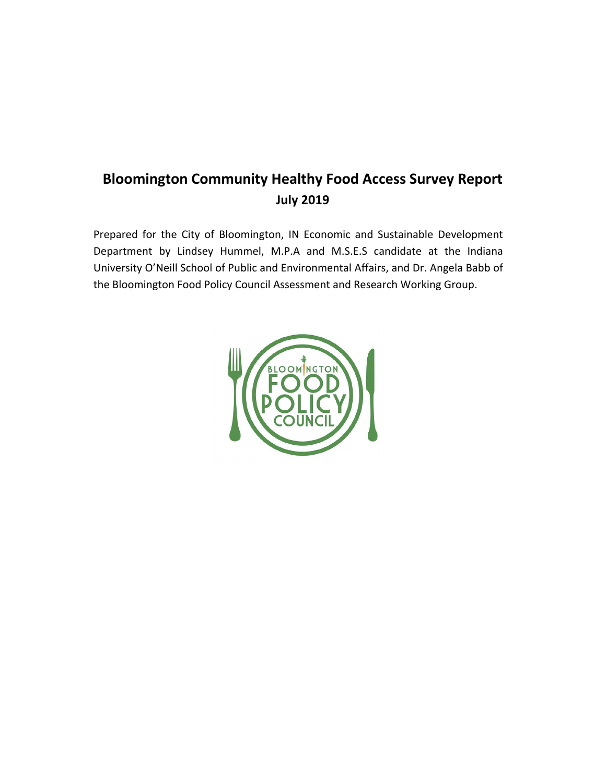## **Bloomington Community Healthy Food Access Survey Report July 2019**

Prepared for the City of Bloomington, IN Economic and Sustainable Development Department by Lindsey Hummel, M.P.A and M.S.E.S candidate at the Indiana University O'Neill School of Public and Environmental Affairs, and Dr. Angela Babb of the Bloomington Food Policy Council Assessment and Research Working Group.

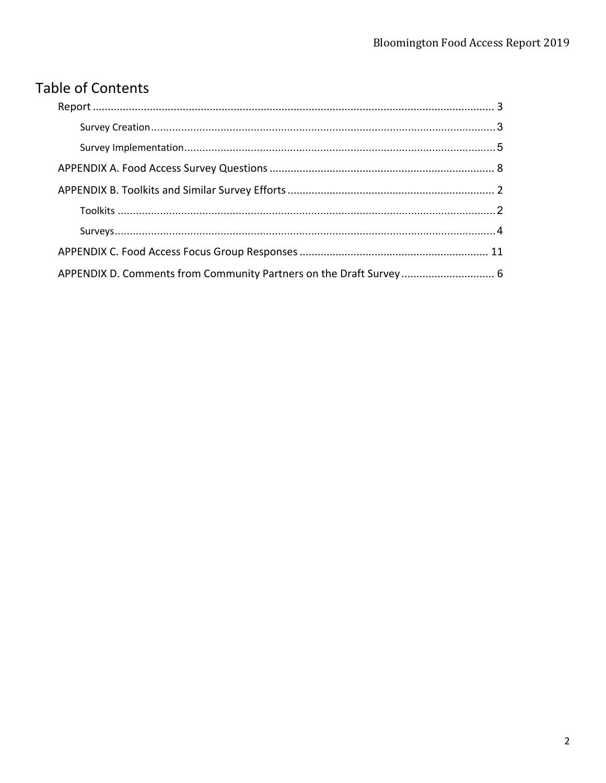## **Table of Contents**

| APPENDIX D. Comments from Community Partners on the Draft Survey 6 |  |
|--------------------------------------------------------------------|--|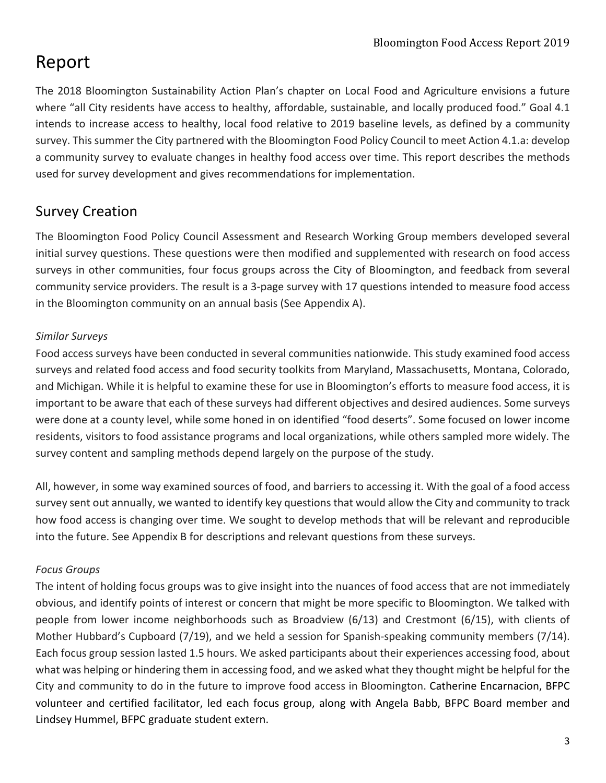## Report

The 2018 Bloomington Sustainability Action Plan's chapter on Local Food and Agriculture envisions a future where "all City residents have access to healthy, affordable, sustainable, and locally produced food." Goal 4.1 intends to increase access to healthy, local food relative to 2019 baseline levels, as defined by a community survey. This summer the City partnered with the Bloomington Food Policy Council to meet Action 4.1.a: develop a community survey to evaluate changes in healthy food access over time. This report describes the methods used for survey development and gives recommendations for implementation.

## Survey Creation

The Bloomington Food Policy Council Assessment and Research Working Group members developed several initial survey questions. These questions were then modified and supplemented with research on food access surveys in other communities, four focus groups across the City of Bloomington, and feedback from several community service providers. The result is a 3-page survey with 17 questions intended to measure food access in the Bloomington community on an annual basis (See Appendix A).

## *Similar Surveys*

Food access surveys have been conducted in several communities nationwide. This study examined food access surveys and related food access and food security toolkits from Maryland, Massachusetts, Montana, Colorado, and Michigan. While it is helpful to examine these for use in Bloomington's efforts to measure food access, it is important to be aware that each of these surveys had different objectives and desired audiences. Some surveys were done at a county level, while some honed in on identified "food deserts". Some focused on lower income residents, visitors to food assistance programs and local organizations, while others sampled more widely. The survey content and sampling methods depend largely on the purpose of the study.

All, however, in some way examined sources of food, and barriers to accessing it. With the goal of a food access survey sent out annually, we wanted to identify key questions that would allow the City and community to track how food access is changing over time. We sought to develop methods that will be relevant and reproducible into the future. See Appendix B for descriptions and relevant questions from these surveys.

## *Focus Groups*

The intent of holding focus groups was to give insight into the nuances of food access that are not immediately obvious, and identify points of interest or concern that might be more specific to Bloomington. We talked with people from lower income neighborhoods such as Broadview (6/13) and Crestmont (6/15), with clients of Mother Hubbard's Cupboard (7/19), and we held a session for Spanish-speaking community members (7/14). Each focus group session lasted 1.5 hours. We asked participants about their experiences accessing food, about what was helping or hindering them in accessing food, and we asked what they thought might be helpful for the City and community to do in the future to improve food access in Bloomington. Catherine Encarnacion, BFPC volunteer and certified facilitator, led each focus group, along with Angela Babb, BFPC Board member and Lindsey Hummel, BFPC graduate student extern.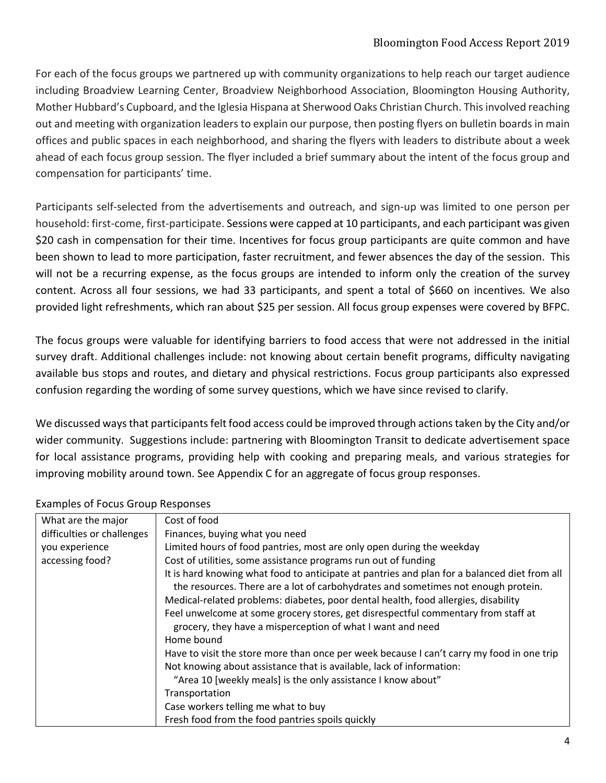## Bloomington Food Access Report 2019

For each of the focus groups we partnered up with community organizations to help reach our target audience including Broadview Learning Center, Broadview Neighborhood Association, Bloomington Housing Authority, Mother Hubbard's Cupboard, and the Iglesia Hispana at Sherwood Oaks Christian Church. This involved reaching out and meeting with organization leaders to explain our purpose, then posting flyers on bulletin boards in main offices and public spaces in each neighborhood, and sharing the flyers with leaders to distribute about a week ahead of each focus group session. The flyer included a brief summary about the intent of the focus group and compensation for participants' time.

Participants self-selected from the advertisements and outreach, and sign-up was limited to one person per household: first-come, first-participate. Sessions were capped at 10 participants, and each participant was given \$20 cash in compensation for their time. Incentives for focus group participants are quite common and have been shown to lead to more participation, faster recruitment, and fewer absences the day of the session. This will not be a recurring expense, as the focus groups are intended to inform only the creation of the survey content. Across all four sessions, we had 33 participants, and spent a total of \$660 on incentives*.* We also provided light refreshments, which ran about \$25 per session. All focus group expenses were covered by BFPC.

The focus groups were valuable for identifying barriers to food access that were not addressed in the initial survey draft. Additional challenges include: not knowing about certain benefit programs, difficulty navigating available bus stops and routes, and dietary and physical restrictions. Focus group participants also expressed confusion regarding the wording of some survey questions, which we have since revised to clarify.

We discussed ways that participants felt food access could be improved through actions taken by the City and/or wider community. Suggestions include: partnering with Bloomington Transit to dedicate advertisement space for local assistance programs, providing help with cooking and preparing meals, and various strategies for improving mobility around town. See Appendix C for an aggregate of focus group responses.

| <b>Examples of Focus Group Responses</b> |                                                                                                                                                                                   |
|------------------------------------------|-----------------------------------------------------------------------------------------------------------------------------------------------------------------------------------|
| What are the major                       | Cost of food                                                                                                                                                                      |
| difficulties or challenges               | Finances, buying what you need                                                                                                                                                    |
| you experience                           | Limited hours of food pantries, most are only open during the weekday                                                                                                             |
| accessing food?                          | Cost of utilities, some assistance programs run out of funding                                                                                                                    |
|                                          | It is hard knowing what food to anticipate at pantries and plan for a balanced diet from all<br>the resources. There are a lot of carbohydrates and sometimes not enough protein. |
|                                          | Medical-related problems: diabetes, poor dental health, food allergies, disability                                                                                                |
|                                          | Feel unwelcome at some grocery stores, get disrespectful commentary from staff at<br>grocery, they have a misperception of what I want and need                                   |
|                                          | Home bound                                                                                                                                                                        |
|                                          | Have to visit the store more than once per week because I can't carry my food in one trip                                                                                         |
|                                          | Not knowing about assistance that is available, lack of information:                                                                                                              |
|                                          | "Area 10 [weekly meals] is the only assistance I know about"                                                                                                                      |
|                                          | Transportation                                                                                                                                                                    |
|                                          | Case workers telling me what to buy                                                                                                                                               |
|                                          | Fresh food from the food pantries spoils quickly                                                                                                                                  |

#### Examples of Focus Group Responses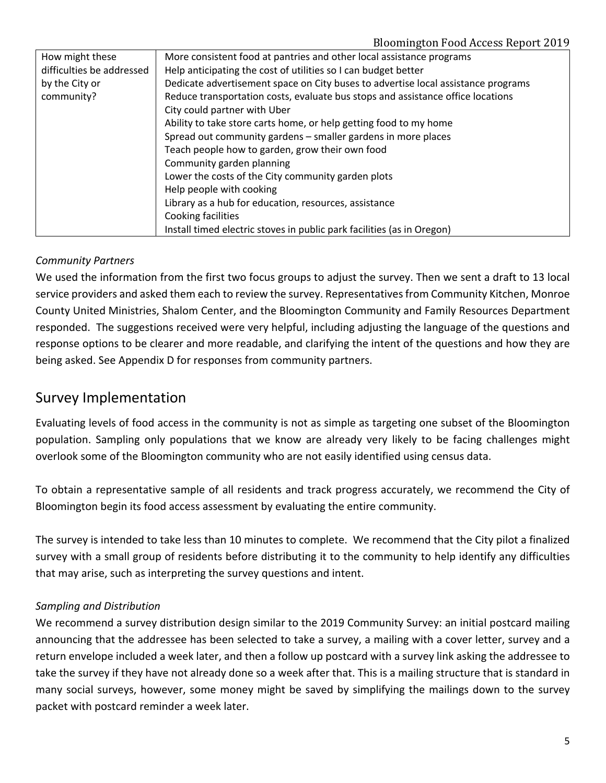| How might these           | More consistent food at pantries and other local assistance programs              |
|---------------------------|-----------------------------------------------------------------------------------|
| difficulties be addressed | Help anticipating the cost of utilities so I can budget better                    |
| by the City or            | Dedicate advertisement space on City buses to advertise local assistance programs |
| community?                | Reduce transportation costs, evaluate bus stops and assistance office locations   |
|                           | City could partner with Uber                                                      |
|                           | Ability to take store carts home, or help getting food to my home                 |
|                           | Spread out community gardens - smaller gardens in more places                     |
|                           | Teach people how to garden, grow their own food                                   |
|                           | Community garden planning                                                         |
|                           | Lower the costs of the City community garden plots                                |
|                           | Help people with cooking                                                          |
|                           | Library as a hub for education, resources, assistance                             |
|                           | Cooking facilities                                                                |
|                           | Install timed electric stoves in public park facilities (as in Oregon)            |

### *Community Partners*

We used the information from the first two focus groups to adjust the survey. Then we sent a draft to 13 local service providers and asked them each to review the survey. Representatives from Community Kitchen, Monroe County United Ministries, Shalom Center, and the Bloomington Community and Family Resources Department responded. The suggestions received were very helpful, including adjusting the language of the questions and response options to be clearer and more readable, and clarifying the intent of the questions and how they are being asked. See Appendix D for responses from community partners.

## Survey Implementation

Evaluating levels of food access in the community is not as simple as targeting one subset of the Bloomington population. Sampling only populations that we know are already very likely to be facing challenges might overlook some of the Bloomington community who are not easily identified using census data.

To obtain a representative sample of all residents and track progress accurately, we recommend the City of Bloomington begin its food access assessment by evaluating the entire community.

The survey is intended to take less than 10 minutes to complete. We recommend that the City pilot a finalized survey with a small group of residents before distributing it to the community to help identify any difficulties that may arise, such as interpreting the survey questions and intent.

### *Sampling and Distribution*

We recommend a survey distribution design similar to the 2019 Community Survey: an initial postcard mailing announcing that the addressee has been selected to take a survey, a mailing with a cover letter, survey and a return envelope included a week later, and then a follow up postcard with a survey link asking the addressee to take the survey if they have not already done so a week after that. This is a mailing structure that is standard in many social surveys, however, some money might be saved by simplifying the mailings down to the survey packet with postcard reminder a week later.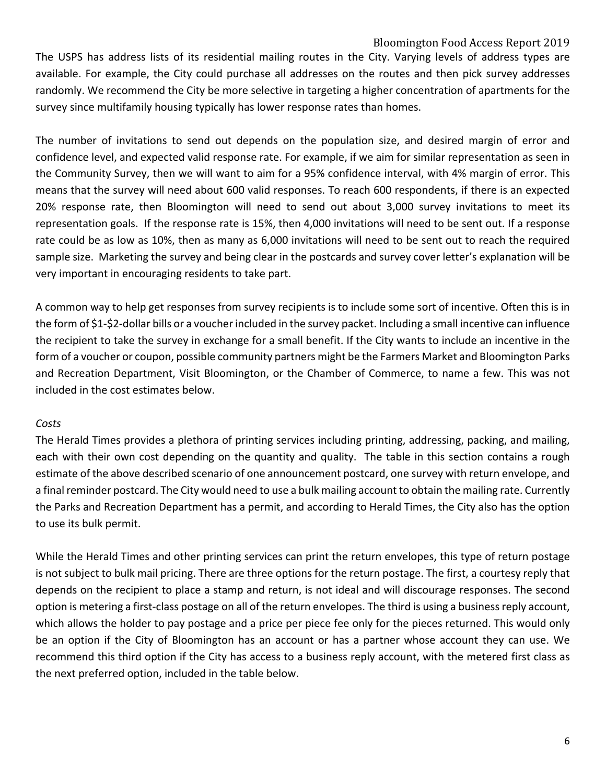#### Bloomington Food Access Report 2019

The USPS has address lists of its residential mailing routes in the City. Varying levels of address types are available. For example, the City could purchase all addresses on the routes and then pick survey addresses randomly. We recommend the City be more selective in targeting a higher concentration of apartments for the survey since multifamily housing typically has lower response rates than homes.

The number of invitations to send out depends on the population size, and desired margin of error and confidence level, and expected valid response rate. For example, if we aim for similar representation as seen in the Community Survey, then we will want to aim for a 95% confidence interval, with 4% margin of error. This means that the survey will need about 600 valid responses. To reach 600 respondents, if there is an expected 20% response rate, then Bloomington will need to send out about 3,000 survey invitations to meet its representation goals. If the response rate is 15%, then 4,000 invitations will need to be sent out. If a response rate could be as low as 10%, then as many as 6,000 invitations will need to be sent out to reach the required sample size. Marketing the survey and being clear in the postcards and survey cover letter's explanation will be very important in encouraging residents to take part.

A common way to help get responses from survey recipients is to include some sort of incentive. Often this is in the form of \$1-\$2-dollar bills or a voucher included in the survey packet. Including a small incentive can influence the recipient to take the survey in exchange for a small benefit. If the City wants to include an incentive in the form of a voucher or coupon, possible community partners might be the Farmers Market and Bloomington Parks and Recreation Department, Visit Bloomington, or the Chamber of Commerce, to name a few. This was not included in the cost estimates below.

#### *Costs*

The Herald Times provides a plethora of printing services including printing, addressing, packing, and mailing, each with their own cost depending on the quantity and quality. The table in this section contains a rough estimate of the above described scenario of one announcement postcard, one survey with return envelope, and a final reminder postcard. The City would need to use a bulk mailing account to obtain the mailing rate. Currently the Parks and Recreation Department has a permit, and according to Herald Times, the City also has the option to use its bulk permit.

While the Herald Times and other printing services can print the return envelopes, this type of return postage is not subject to bulk mail pricing. There are three options for the return postage. The first, a courtesy reply that depends on the recipient to place a stamp and return, is not ideal and will discourage responses. The second option is metering a first-class postage on all of the return envelopes. The third is using a business reply account, which allows the holder to pay postage and a price per piece fee only for the pieces returned. This would only be an option if the City of Bloomington has an account or has a partner whose account they can use. We recommend this third option if the City has access to a business reply account, with the metered first class as the next preferred option, included in the table below.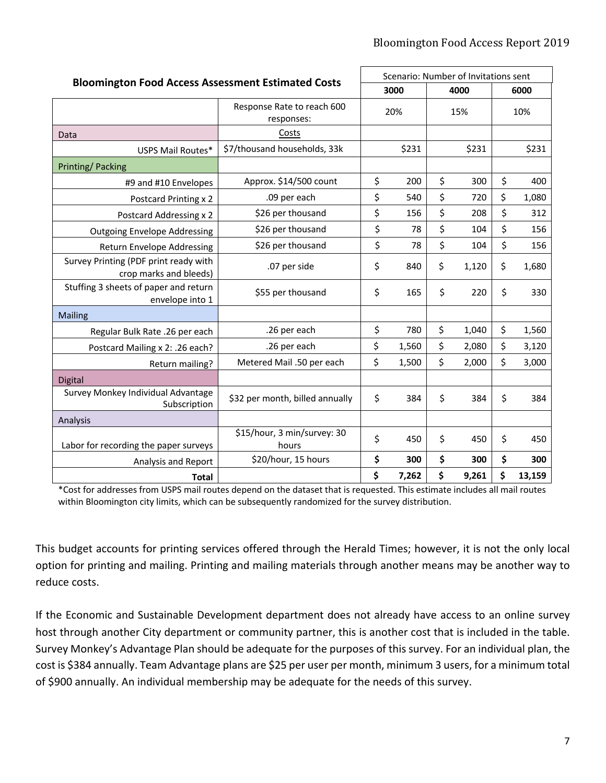| <b>Bloomington Food Access Assessment Estimated Costs</b>       |                                          | Scenario: Number of Invitations sent |       |      |       |      |        |
|-----------------------------------------------------------------|------------------------------------------|--------------------------------------|-------|------|-------|------|--------|
|                                                                 |                                          | 3000                                 |       | 4000 |       | 6000 |        |
|                                                                 | Response Rate to reach 600<br>responses: |                                      | 20%   |      | 15%   |      | 10%    |
| Data                                                            | Costs                                    |                                      |       |      |       |      |        |
| USPS Mail Routes*                                               | \$7/thousand households, 33k             |                                      | \$231 |      | \$231 |      | \$231  |
| <b>Printing/Packing</b>                                         |                                          |                                      |       |      |       |      |        |
| #9 and #10 Envelopes                                            | Approx. \$14/500 count                   | \$                                   | 200   | \$   | 300   | \$   | 400    |
| Postcard Printing x 2                                           | .09 per each                             | \$                                   | 540   | \$   | 720   | \$   | 1,080  |
| <b>Postcard Addressing x 2</b>                                  | \$26 per thousand                        | \$                                   | 156   | \$   | 208   | \$   | 312    |
| <b>Outgoing Envelope Addressing</b>                             | \$26 per thousand                        | \$                                   | 78    | \$   | 104   | \$   | 156    |
| Return Envelope Addressing                                      | \$26 per thousand                        | \$                                   | 78    | \$   | 104   | \$   | 156    |
| Survey Printing (PDF print ready with<br>crop marks and bleeds) | .07 per side                             | \$                                   | 840   | \$   | 1,120 | \$   | 1,680  |
| Stuffing 3 sheets of paper and return<br>envelope into 1        | \$55 per thousand                        | \$                                   | 165   | \$   | 220   | \$   | 330    |
| <b>Mailing</b>                                                  |                                          |                                      |       |      |       |      |        |
| Regular Bulk Rate .26 per each                                  | .26 per each                             | \$                                   | 780   | \$   | 1,040 | \$   | 1,560  |
| Postcard Mailing x 2: .26 each?                                 | .26 per each                             | \$                                   | 1,560 | \$   | 2,080 | \$   | 3,120  |
| Return mailing?                                                 | Metered Mail .50 per each                | \$                                   | 1,500 | \$   | 2,000 | \$   | 3,000  |
| <b>Digital</b>                                                  |                                          |                                      |       |      |       |      |        |
| Survey Monkey Individual Advantage<br>Subscription              | \$32 per month, billed annually          | \$                                   | 384   | \$   | 384   | \$   | 384    |
| Analysis                                                        |                                          |                                      |       |      |       |      |        |
| Labor for recording the paper surveys                           | \$15/hour, 3 min/survey: 30<br>hours     | \$                                   | 450   | \$   | 450   | \$   | 450    |
| Analysis and Report                                             | \$20/hour, 15 hours                      | \$                                   | 300   | \$   | 300   | \$   | 300    |
| <b>Total</b>                                                    |                                          | \$                                   | 7,262 | \$   | 9,261 | \$   | 13,159 |

\*Cost for addresses from USPS mail routes depend on the dataset that is requested. This estimate includes all mail routes within Bloomington city limits, which can be subsequently randomized for the survey distribution.

This budget accounts for printing services offered through the Herald Times; however, it is not the only local option for printing and mailing. Printing and mailing materials through another means may be another way to reduce costs.

If the Economic and Sustainable Development department does not already have access to an online survey host through another City department or community partner, this is another cost that is included in the table. Survey Monkey's Advantage Plan should be adequate for the purposes of this survey. For an individual plan, the cost is \$384 annually. Team Advantage plans are \$25 per user per month, minimum 3 users, for a minimum total of \$900 annually. An individual membership may be adequate for the needs of this survey.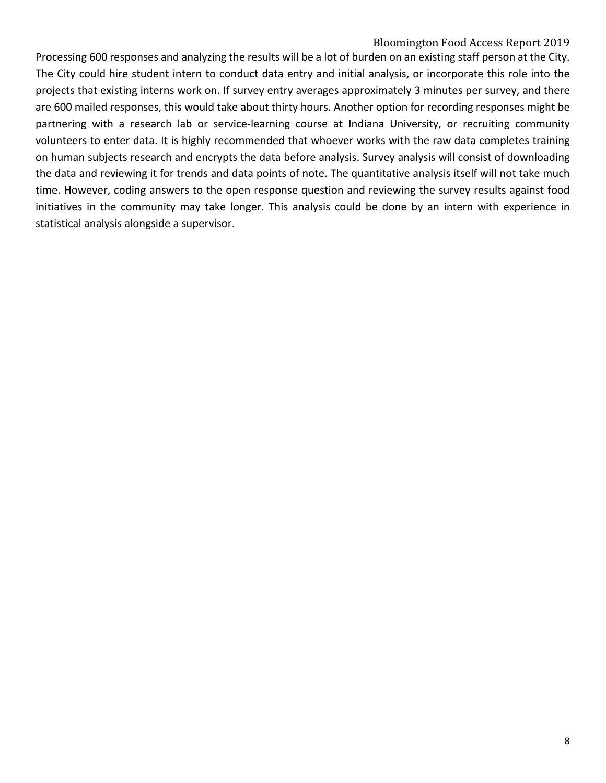### Bloomington Food Access Report 2019

Processing 600 responses and analyzing the results will be a lot of burden on an existing staff person at the City. The City could hire student intern to conduct data entry and initial analysis, or incorporate this role into the projects that existing interns work on. If survey entry averages approximately 3 minutes per survey, and there are 600 mailed responses, this would take about thirty hours. Another option for recording responses might be partnering with a research lab or service-learning course at Indiana University, or recruiting community volunteers to enter data. It is highly recommended that whoever works with the raw data completes training on human subjects research and encrypts the data before analysis. Survey analysis will consist of downloading the data and reviewing it for trends and data points of note. The quantitative analysis itself will not take much time. However, coding answers to the open response question and reviewing the survey results against food initiatives in the community may take longer. This analysis could be done by an intern with experience in statistical analysis alongside a supervisor.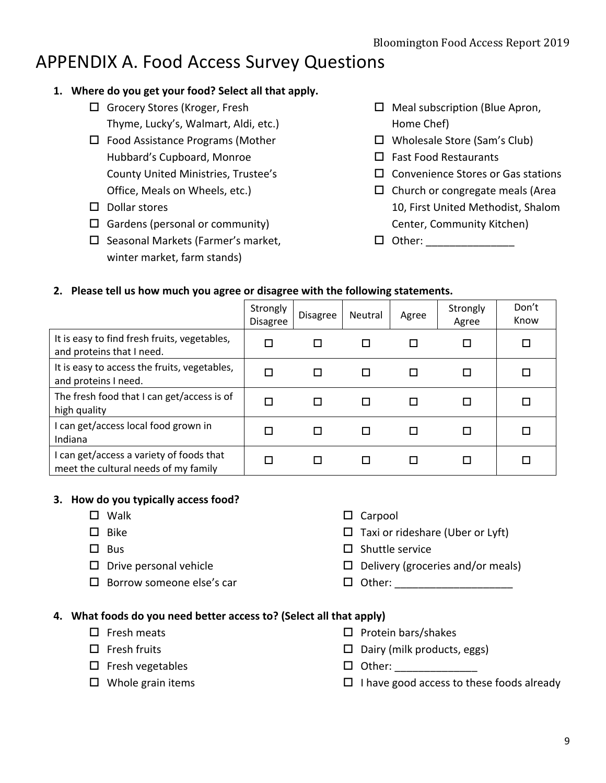# APPENDIX A. Food Access Survey Questions

## **1. Where do you get your food? Select all that apply.**

- $\Box$  Grocery Stores (Kroger, Fresh Thyme, Lucky's, Walmart, Aldi, etc.)
- $\square$  Food Assistance Programs (Mother Hubbard's Cupboard, Monroe County United Ministries, Trustee's Office, Meals on Wheels, etc.)
- $\square$  Dollar stores
- $\Box$  Gardens (personal or community)
- $\square$  Seasonal Markets (Farmer's market, winter market, farm stands)
- $\Box$  Meal subscription (Blue Apron, Home Chef)
- $\Box$  Wholesale Store (Sam's Club)
- $\Box$  Fast Food Restaurants
- $\square$  Convenience Stores or Gas stations
- $\Box$  Church or congregate meals (Area 10, First United Methodist, Shalom Center, Community Kitchen)
- o Other: \_\_\_\_\_\_\_\_\_\_\_\_\_\_\_

## **2. Please tell us how much you agree or disagree with the following statements.**

|                                                                                  | Strongly<br><b>Disagree</b> | <b>Disagree</b> | Neutral | Agree | Strongly<br>Agree | Don't<br>Know |
|----------------------------------------------------------------------------------|-----------------------------|-----------------|---------|-------|-------------------|---------------|
| It is easy to find fresh fruits, vegetables,<br>and proteins that I need.        | □                           | П               |         | П     | п                 |               |
| It is easy to access the fruits, vegetables,<br>and proteins I need.             | □                           | П               |         |       | □                 |               |
| The fresh food that I can get/access is of<br>high quality                       | □                           |                 |         |       | П                 |               |
| I can get/access local food grown in<br>Indiana                                  | □                           | П               |         | П     | П                 |               |
| I can get/access a variety of foods that<br>meet the cultural needs of my family | п                           |                 |         | П     | П                 |               |

## **3. How do you typically access food?**

- $\square$  Walk
- $\square$  Bike
- $\square$  Bus
- $\square$  Drive personal vehicle
- $\square$  Borrow someone else's car
- $\square$  Carpool
- $\Box$  Taxi or rideshare (Uber or Lyft)
- $\square$  Shuttle service
- $\Box$  Delivery (groceries and/or meals)
- $\Box$  Other:  $\Box$

## **4. What foods do you need better access to? (Select all that apply)**

- $\square$  Fresh meats
- $\square$  Fresh fruits
- $\square$  Fresh vegetables
- $\square$  Whole grain items
- $\square$  Protein bars/shakes
- $\Box$  Dairy (milk products, eggs)
- $\Box$  Other:
- $\Box$  I have good access to these foods already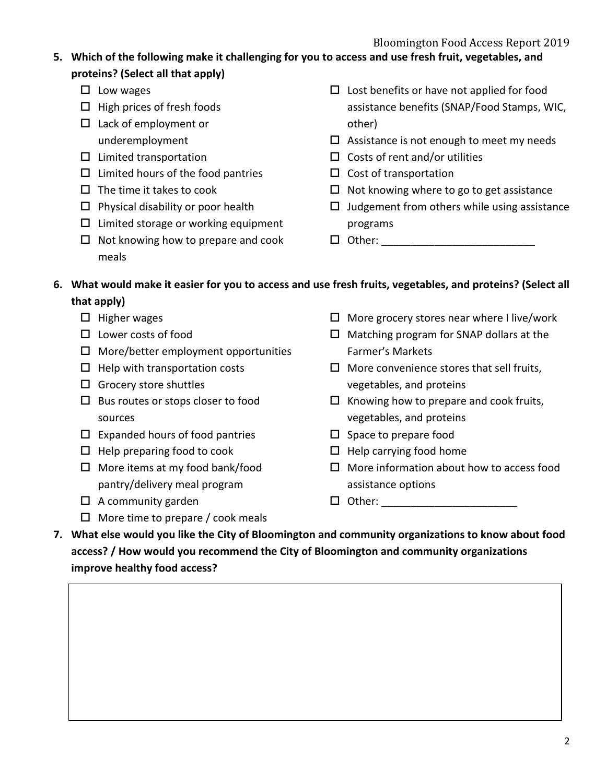## **5. Which of the following make it challenging for you to access and use fresh fruit, vegetables, and proteins? (Select all that apply)**

- $\square$  Low wages
- $\Box$  High prices of fresh foods
- $\Box$  Lack of employment or underemployment
- $\square$  Limited transportation
- $\Box$  Limited hours of the food pantries
- $\Box$  The time it takes to cook
- $\square$  Physical disability or poor health
- $\square$  Limited storage or working equipment
- $\Box$  Not knowing how to prepare and cook meals
- $\square$  Lost benefits or have not applied for food assistance benefits (SNAP/Food Stamps, WIC, other)
- $\square$  Assistance is not enough to meet my needs
- $\Box$  Costs of rent and/or utilities
- $\square$  Cost of transportation
- $\Box$  Not knowing where to go to get assistance
- $\Box$  Judgement from others while using assistance programs
- $\Box$  Other:  $\Box$

## **6. What would make it easier for you to access and use fresh fruits, vegetables, and proteins? (Select all that apply)**

- $\Box$  Higher wages
- $\square$  Lower costs of food
- $\Box$  More/better employment opportunities
- $\Box$  Help with transportation costs
- $\Box$  Grocery store shuttles
- $\square$  Bus routes or stops closer to food sources
- $\square$  Expanded hours of food pantries
- $\Box$  Help preparing food to cook
- $\Box$  More items at my food bank/food pantry/delivery meal program
- $\Box$  A community garden
- $\Box$  More time to prepare / cook meals
- $\Box$  More grocery stores near where I live/work
- $\Box$  Matching program for SNAP dollars at the Farmer's Markets
- $\Box$  More convenience stores that sell fruits, vegetables, and proteins
- $\Box$  Knowing how to prepare and cook fruits, vegetables, and proteins
- $\square$  Space to prepare food
- $\Box$  Help carrying food home
- $\square$  More information about how to access food assistance options
- $\Box$  Other:  $\Box$
- **7. What else would you like the City of Bloomington and community organizations to know about food access? / How would you recommend the City of Bloomington and community organizations improve healthy food access?**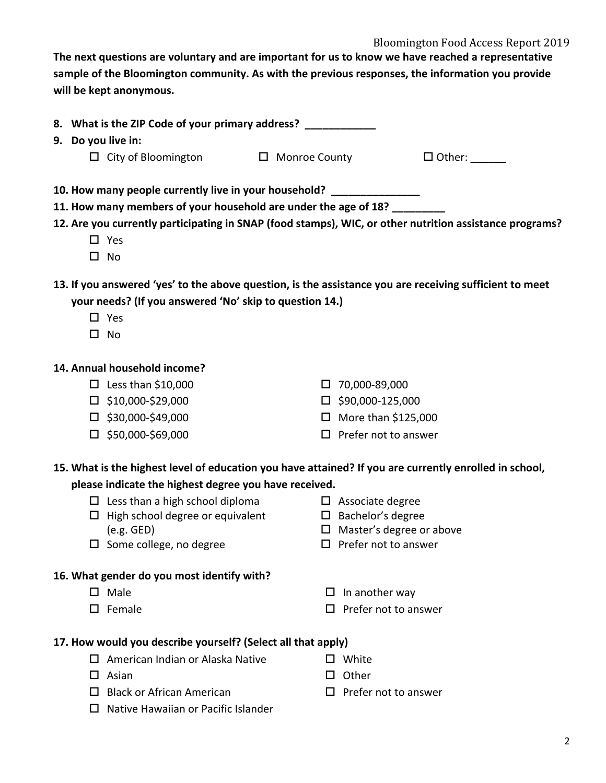#### Bloomington Food Access Report 2019

**The next questions are voluntary and are important for us to know we have reached a representative sample of the Bloomington community. As with the previous responses, the information you provide will be kept anonymous.** 

| 8. What is the ZIP Code of your primary address?                                                        |                         |               |
|---------------------------------------------------------------------------------------------------------|-------------------------|---------------|
| 9. Do you live in:                                                                                      |                         |               |
| $\Box$ City of Bloomington $\Box$ Monroe County                                                         |                         | $\Box$ Other: |
| 10. How many people currently live in your household? __________________________                        |                         |               |
| 11. How many members of your household are under the age of 18?                                         |                         |               |
| 12. Are you currently participating in SNAP (food stamps), WIC, or other nutrition assistance programs? |                         |               |
| $\Box$ Yes                                                                                              |                         |               |
| No<br>$\perp$                                                                                           |                         |               |
| 13. If you answered 'yes' to the above question, is the assistance you are receiving sufficient to meet |                         |               |
| your needs? (If you answered 'No' skip to question 14.)                                                 |                         |               |
| $\Box$ Yes                                                                                              |                         |               |
| п<br>No                                                                                                 |                         |               |
| 14. Annual household income?                                                                            |                         |               |
| $\Box$ Less than \$10,000                                                                               | 70,000-89,000           |               |
| $\Box$ can ann can ann                                                                                  | $\Box$ can ann 125.000. |               |

- $\square$  \$10,000-\$29,000
- $\square$  \$30,000-\$49,000
- $\square$  \$50,000-\$69,000
- $\square$  \$90,000-125,000
- $\Box$  More than \$125,000
- $\square$  Prefer not to answer

## **15. What is the highest level of education you have attained? If you are currently enrolled in school,**

## **please indicate the highest degree you have received.**

- $\square$  Less than a high school diploma  $\Box$  High school degree or equivalent
- (e.g. GED)  $\square$  Some college, no degree

## **16. What gender do you most identify with?**

- $\square$  Male
- $\square$  Female
- $\square$  Associate degree
- $\square$  Bachelor's degree
- $\Box$  Master's degree or above
- $\square$  Prefer not to answer
- $\Box$  In another way
- $\square$  Prefer not to answer

## **17. How would you describe yourself? (Select all that apply)**

- $\Box$  American Indian or Alaska Native
- $\square$  Asian
- $\Box$  Black or African American
- $\Pi$  Native Hawaiian or Pacific Islander
- $\square$  White
- $\square$  Other
- $\Box$  Prefer not to answer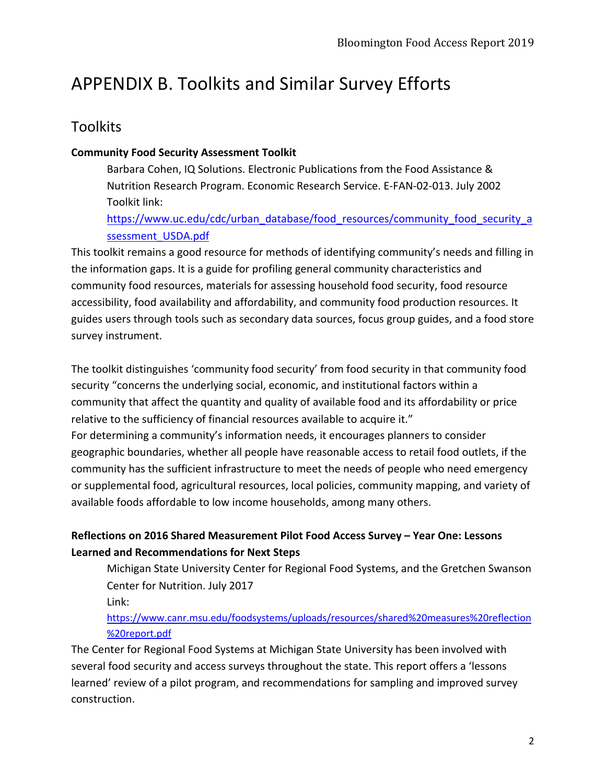# APPENDIX B. Toolkits and Similar Survey Efforts

## **Toolkits**

## **Community Food Security Assessment Toolkit**

Barbara Cohen, IQ Solutions. Electronic Publications from the Food Assistance & Nutrition Research Program. Economic Research Service. E-FAN-02-013. July 2002 Toolkit link:

https://www.uc.edu/cdc/urban\_database/food\_resources/community\_food\_security\_a ssessment\_USDA.pdf

This toolkit remains a good resource for methods of identifying community's needs and filling in the information gaps. It is a guide for profiling general community characteristics and community food resources, materials for assessing household food security, food resource accessibility, food availability and affordability, and community food production resources. It guides users through tools such as secondary data sources, focus group guides, and a food store survey instrument.

The toolkit distinguishes 'community food security' from food security in that community food security "concerns the underlying social, economic, and institutional factors within a community that affect the quantity and quality of available food and its affordability or price relative to the sufficiency of financial resources available to acquire it."

For determining a community's information needs, it encourages planners to consider geographic boundaries, whether all people have reasonable access to retail food outlets, if the community has the sufficient infrastructure to meet the needs of people who need emergency or supplemental food, agricultural resources, local policies, community mapping, and variety of available foods affordable to low income households, among many others.

## **Reflections on 2016 Shared Measurement Pilot Food Access Survey – Year One: Lessons Learned and Recommendations for Next Steps**

Michigan State University Center for Regional Food Systems, and the Gretchen Swanson Center for Nutrition. July 2017

Link:

## https://www.canr.msu.edu/foodsystems/uploads/resources/shared%20measures%20reflection %20report.pdf

The Center for Regional Food Systems at Michigan State University has been involved with several food security and access surveys throughout the state. This report offers a 'lessons learned' review of a pilot program, and recommendations for sampling and improved survey construction.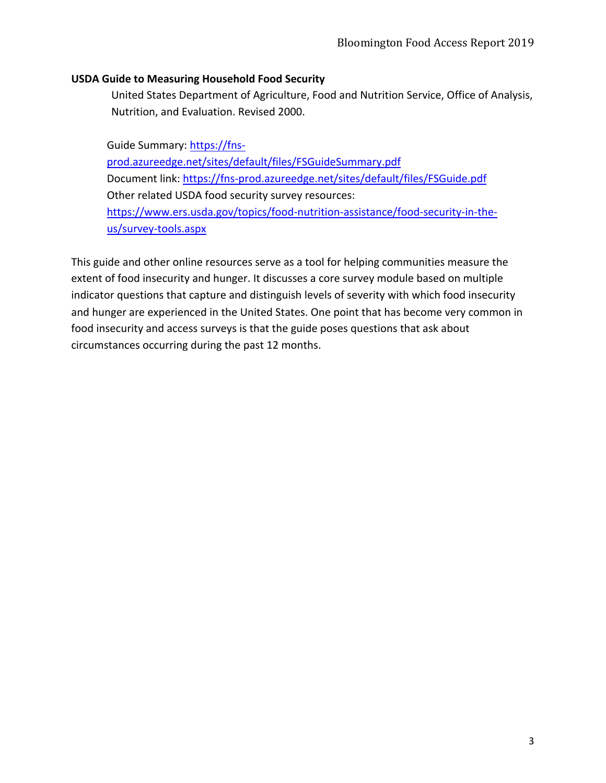#### **USDA Guide to Measuring Household Food Security**

United States Department of Agriculture, Food and Nutrition Service, Office of Analysis, Nutrition, and Evaluation. Revised 2000.

Guide Summary: https://fnsprod.azureedge.net/sites/default/files/FSGuideSummary.pdf Document link: https://fns-prod.azureedge.net/sites/default/files/FSGuide.pdf Other related USDA food security survey resources: https://www.ers.usda.gov/topics/food-nutrition-assistance/food-security-in-theus/survey-tools.aspx

This guide and other online resources serve as a tool for helping communities measure the extent of food insecurity and hunger. It discusses a core survey module based on multiple indicator questions that capture and distinguish levels of severity with which food insecurity and hunger are experienced in the United States. One point that has become very common in food insecurity and access surveys is that the guide poses questions that ask about circumstances occurring during the past 12 months.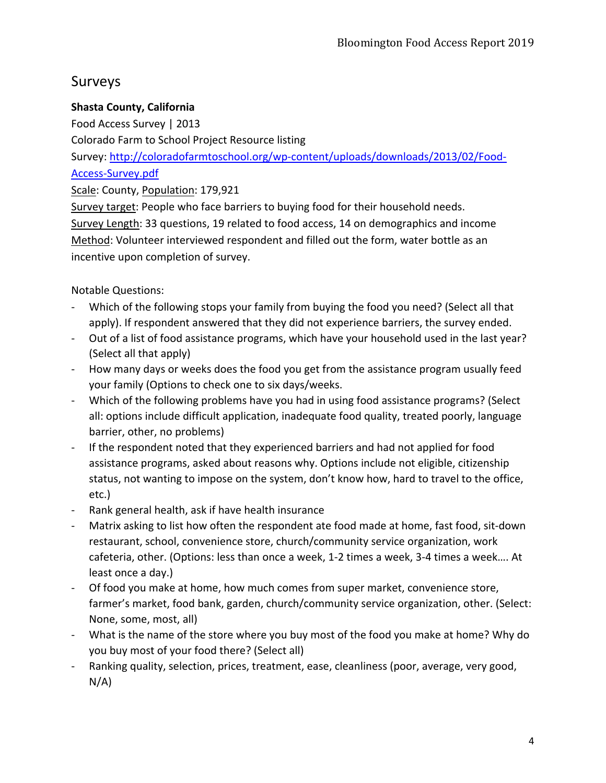## Surveys

## **Shasta County, California**

Food Access Survey | 2013

Colorado Farm to School Project Resource listing

Survey: http://coloradofarmtoschool.org/wp-content/uploads/downloads/2013/02/Food-Access-Survey.pdf

Scale: County, Population: 179,921

Survey target: People who face barriers to buying food for their household needs. Survey Length: 33 questions, 19 related to food access, 14 on demographics and income Method: Volunteer interviewed respondent and filled out the form, water bottle as an incentive upon completion of survey.

Notable Questions:

- Which of the following stops your family from buying the food you need? (Select all that apply). If respondent answered that they did not experience barriers, the survey ended.
- Out of a list of food assistance programs, which have your household used in the last year? (Select all that apply)
- How many days or weeks does the food you get from the assistance program usually feed your family (Options to check one to six days/weeks.
- Which of the following problems have you had in using food assistance programs? (Select all: options include difficult application, inadequate food quality, treated poorly, language barrier, other, no problems)
- If the respondent noted that they experienced barriers and had not applied for food assistance programs, asked about reasons why. Options include not eligible, citizenship status, not wanting to impose on the system, don't know how, hard to travel to the office, etc.)
- Rank general health, ask if have health insurance
- Matrix asking to list how often the respondent ate food made at home, fast food, sit-down restaurant, school, convenience store, church/community service organization, work cafeteria, other. (Options: less than once a week, 1-2 times a week, 3-4 times a week…. At least once a day.)
- Of food you make at home, how much comes from super market, convenience store, farmer's market, food bank, garden, church/community service organization, other. (Select: None, some, most, all)
- What is the name of the store where you buy most of the food you make at home? Why do you buy most of your food there? (Select all)
- Ranking quality, selection, prices, treatment, ease, cleanliness (poor, average, very good, N/A)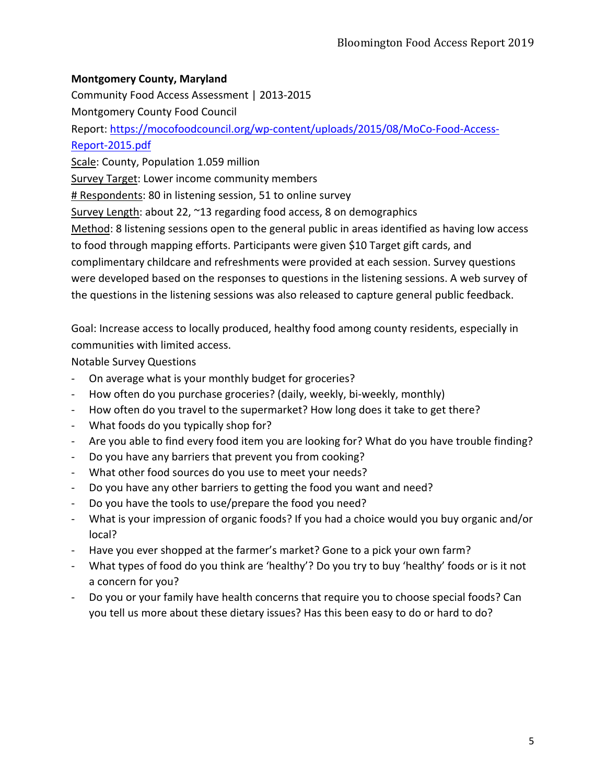## **Montgomery County, Maryland**

Community Food Access Assessment | 2013-2015 Montgomery County Food Council Report: https://mocofoodcouncil.org/wp-content/uploads/2015/08/MoCo-Food-Access-Report-2015.pdf Scale: County, Population 1.059 million Survey Target: Lower income community members # Respondents: 80 in listening session, 51 to online survey Survey Length: about 22, ~13 regarding food access, 8 on demographics Method: 8 listening sessions open to the general public in areas identified as having low access to food through mapping efforts. Participants were given \$10 Target gift cards, and complimentary childcare and refreshments were provided at each session. Survey questions were developed based on the responses to questions in the listening sessions. A web survey of the questions in the listening sessions was also released to capture general public feedback.

Goal: Increase access to locally produced, healthy food among county residents, especially in communities with limited access.

Notable Survey Questions

- On average what is your monthly budget for groceries?
- How often do you purchase groceries? (daily, weekly, bi-weekly, monthly)
- How often do you travel to the supermarket? How long does it take to get there?
- What foods do you typically shop for?
- Are you able to find every food item you are looking for? What do you have trouble finding?
- Do you have any barriers that prevent you from cooking?
- What other food sources do you use to meet your needs?
- Do you have any other barriers to getting the food you want and need?
- Do you have the tools to use/prepare the food you need?
- What is your impression of organic foods? If you had a choice would you buy organic and/or local?
- Have you ever shopped at the farmer's market? Gone to a pick your own farm?
- What types of food do you think are 'healthy'? Do you try to buy 'healthy' foods or is it not a concern for you?
- Do you or your family have health concerns that require you to choose special foods? Can you tell us more about these dietary issues? Has this been easy to do or hard to do?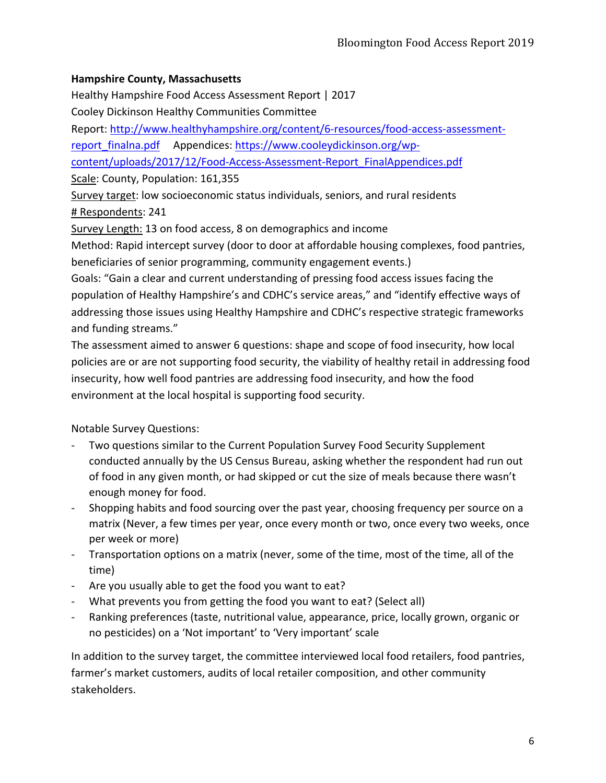## **Hampshire County, Massachusetts**

Healthy Hampshire Food Access Assessment Report | 2017

Cooley Dickinson Healthy Communities Committee

Report: http://www.healthyhampshire.org/content/6-resources/food-access-assessmentreport\_finalna.pdf Appendices: https://www.cooleydickinson.org/wp-

content/uploads/2017/12/Food-Access-Assessment-Report\_FinalAppendices.pdf

Scale: County, Population: 161,355

Survey target: low socioeconomic status individuals, seniors, and rural residents # Respondents: 241

Survey Length: 13 on food access, 8 on demographics and income

Method: Rapid intercept survey (door to door at affordable housing complexes, food pantries, beneficiaries of senior programming, community engagement events.)

Goals: "Gain a clear and current understanding of pressing food access issues facing the population of Healthy Hampshire's and CDHC's service areas," and "identify effective ways of addressing those issues using Healthy Hampshire and CDHC's respective strategic frameworks and funding streams."

The assessment aimed to answer 6 questions: shape and scope of food insecurity, how local policies are or are not supporting food security, the viability of healthy retail in addressing food insecurity, how well food pantries are addressing food insecurity, and how the food environment at the local hospital is supporting food security.

Notable Survey Questions:

- Two questions similar to the Current Population Survey Food Security Supplement conducted annually by the US Census Bureau, asking whether the respondent had run out of food in any given month, or had skipped or cut the size of meals because there wasn't enough money for food.
- Shopping habits and food sourcing over the past year, choosing frequency per source on a matrix (Never, a few times per year, once every month or two, once every two weeks, once per week or more)
- Transportation options on a matrix (never, some of the time, most of the time, all of the time)
- Are you usually able to get the food you want to eat?
- What prevents you from getting the food you want to eat? (Select all)
- Ranking preferences (taste, nutritional value, appearance, price, locally grown, organic or no pesticides) on a 'Not important' to 'Very important' scale

In addition to the survey target, the committee interviewed local food retailers, food pantries, farmer's market customers, audits of local retailer composition, and other community stakeholders.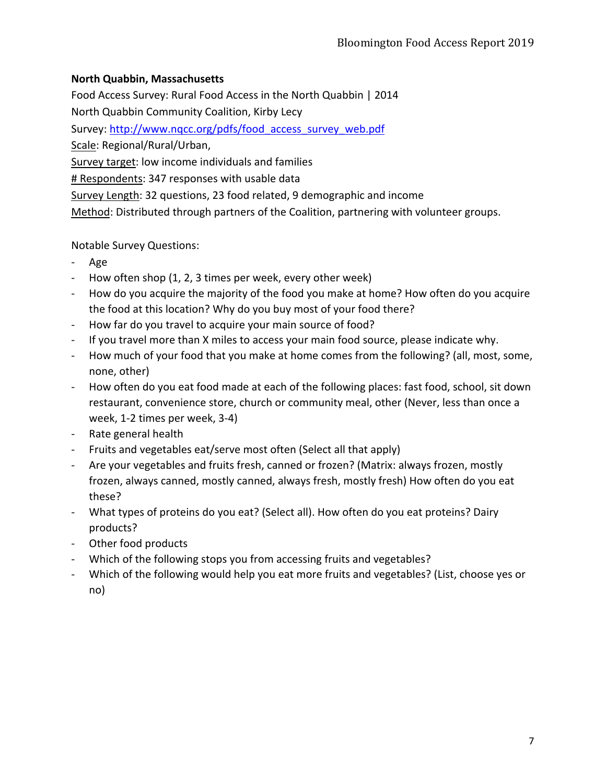## **North Quabbin, Massachusetts**

Food Access Survey: Rural Food Access in the North Quabbin | 2014 North Quabbin Community Coalition, Kirby Lecy Survey: http://www.nqcc.org/pdfs/food\_access\_survey\_web.pdf Scale: Regional/Rural/Urban, Survey target: low income individuals and families # Respondents: 347 responses with usable data Survey Length: 32 questions, 23 food related, 9 demographic and income Method: Distributed through partners of the Coalition, partnering with volunteer groups.

Notable Survey Questions:

- Age
- How often shop (1, 2, 3 times per week, every other week)
- How do you acquire the majority of the food you make at home? How often do you acquire the food at this location? Why do you buy most of your food there?
- How far do you travel to acquire your main source of food?
- If you travel more than X miles to access your main food source, please indicate why.
- How much of your food that you make at home comes from the following? (all, most, some, none, other)
- How often do you eat food made at each of the following places: fast food, school, sit down restaurant, convenience store, church or community meal, other (Never, less than once a week, 1-2 times per week, 3-4)
- Rate general health
- Fruits and vegetables eat/serve most often (Select all that apply)
- Are your vegetables and fruits fresh, canned or frozen? (Matrix: always frozen, mostly frozen, always canned, mostly canned, always fresh, mostly fresh) How often do you eat these?
- What types of proteins do you eat? (Select all). How often do you eat proteins? Dairy products?
- Other food products
- Which of the following stops you from accessing fruits and vegetables?
- Which of the following would help you eat more fruits and vegetables? (List, choose yes or no)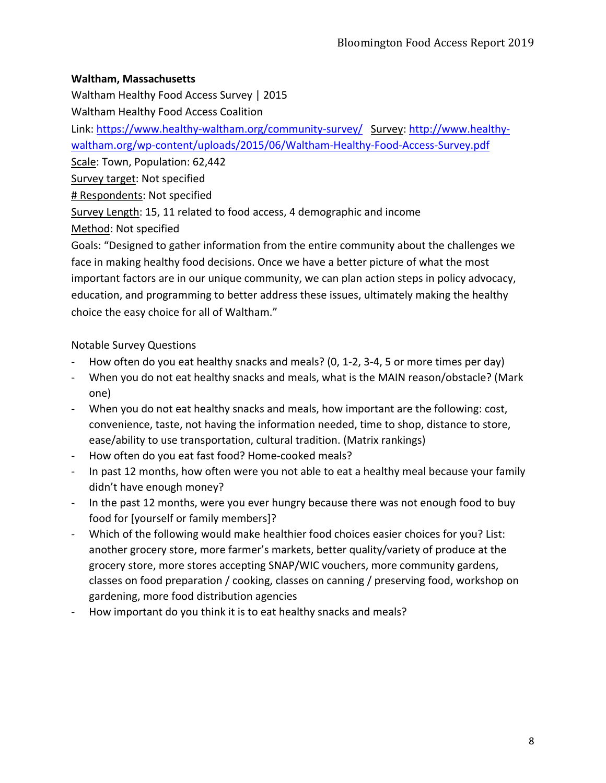## **Waltham, Massachusetts**

Waltham Healthy Food Access Survey | 2015

Waltham Healthy Food Access Coalition

Link: https://www.healthy-waltham.org/community-survey/ Survey: http://www.healthywaltham.org/wp-content/uploads/2015/06/Waltham-Healthy-Food-Access-Survey.pdf

Scale: Town, Population: 62,442

Survey target: Not specified

# Respondents: Not specified

Survey Length: 15, 11 related to food access, 4 demographic and income

Method: Not specified

Goals: "Designed to gather information from the entire community about the challenges we face in making healthy food decisions. Once we have a better picture of what the most important factors are in our unique community, we can plan action steps in policy advocacy, education, and programming to better address these issues, ultimately making the healthy choice the easy choice for all of Waltham."

Notable Survey Questions

- How often do you eat healthy snacks and meals? (0, 1-2, 3-4, 5 or more times per day)
- When you do not eat healthy snacks and meals, what is the MAIN reason/obstacle? (Mark one)
- When you do not eat healthy snacks and meals, how important are the following: cost, convenience, taste, not having the information needed, time to shop, distance to store, ease/ability to use transportation, cultural tradition. (Matrix rankings)
- How often do you eat fast food? Home-cooked meals?
- In past 12 months, how often were you not able to eat a healthy meal because your family didn't have enough money?
- In the past 12 months, were you ever hungry because there was not enough food to buy food for [yourself or family members]?
- Which of the following would make healthier food choices easier choices for you? List: another grocery store, more farmer's markets, better quality/variety of produce at the grocery store, more stores accepting SNAP/WIC vouchers, more community gardens, classes on food preparation / cooking, classes on canning / preserving food, workshop on gardening, more food distribution agencies
- How important do you think it is to eat healthy snacks and meals?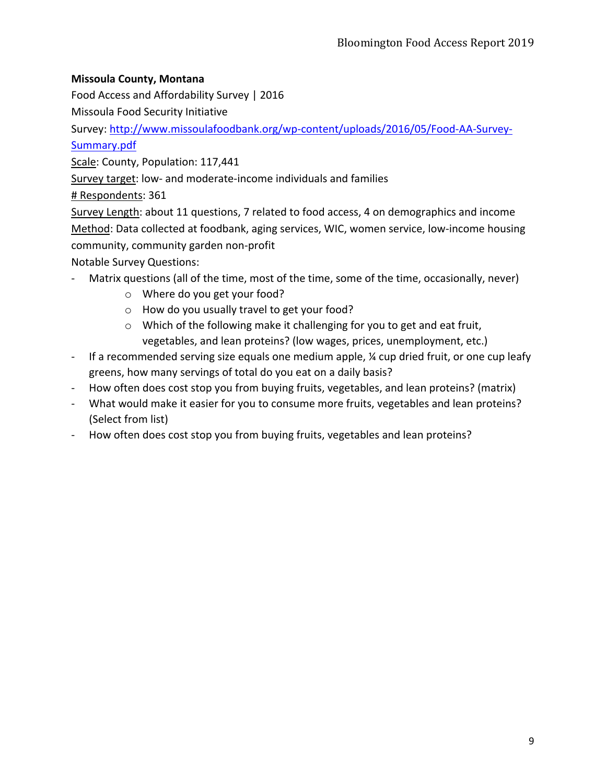## **Missoula County, Montana**

Food Access and Affordability Survey | 2016

Missoula Food Security Initiative

Survey: http://www.missoulafoodbank.org/wp-content/uploads/2016/05/Food-AA-Survey-Summary.pdf

Scale: County, Population: 117,441

Survey target: low- and moderate-income individuals and families

# Respondents: 361

Survey Length: about 11 questions, 7 related to food access, 4 on demographics and income Method: Data collected at foodbank, aging services, WIC, women service, low-income housing community, community garden non-profit

Notable Survey Questions:

- Matrix questions (all of the time, most of the time, some of the time, occasionally, never)
	- o Where do you get your food?
	- o How do you usually travel to get your food?
	- o Which of the following make it challenging for you to get and eat fruit, vegetables, and lean proteins? (low wages, prices, unemployment, etc.)
- If a recommended serving size equals one medium apple, ¼ cup dried fruit, or one cup leafy greens, how many servings of total do you eat on a daily basis?
- How often does cost stop you from buying fruits, vegetables, and lean proteins? (matrix)
- What would make it easier for you to consume more fruits, vegetables and lean proteins? (Select from list)
- How often does cost stop you from buying fruits, vegetables and lean proteins?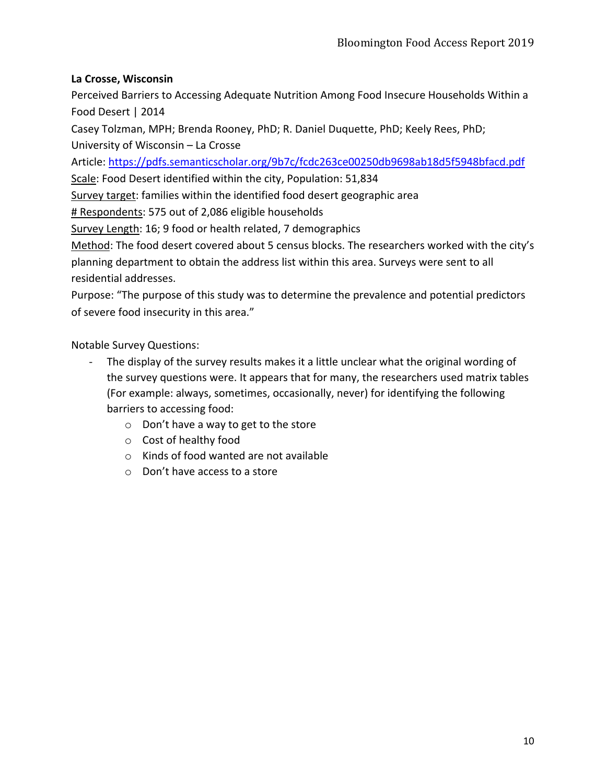## **La Crosse, Wisconsin**

Perceived Barriers to Accessing Adequate Nutrition Among Food Insecure Households Within a Food Desert | 2014

Casey Tolzman, MPH; Brenda Rooney, PhD; R. Daniel Duquette, PhD; Keely Rees, PhD; University of Wisconsin – La Crosse

Article: https://pdfs.semanticscholar.org/9b7c/fcdc263ce00250db9698ab18d5f5948bfacd.pdf

Scale: Food Desert identified within the city, Population: 51,834

Survey target: families within the identified food desert geographic area

# Respondents: 575 out of 2,086 eligible households

Survey Length: 16; 9 food or health related, 7 demographics

Method: The food desert covered about 5 census blocks. The researchers worked with the city's planning department to obtain the address list within this area. Surveys were sent to all residential addresses.

Purpose: "The purpose of this study was to determine the prevalence and potential predictors of severe food insecurity in this area."

Notable Survey Questions:

- The display of the survey results makes it a little unclear what the original wording of the survey questions were. It appears that for many, the researchers used matrix tables (For example: always, sometimes, occasionally, never) for identifying the following barriers to accessing food:
	- o Don't have a way to get to the store
	- o Cost of healthy food
	- o Kinds of food wanted are not available
	- o Don't have access to a store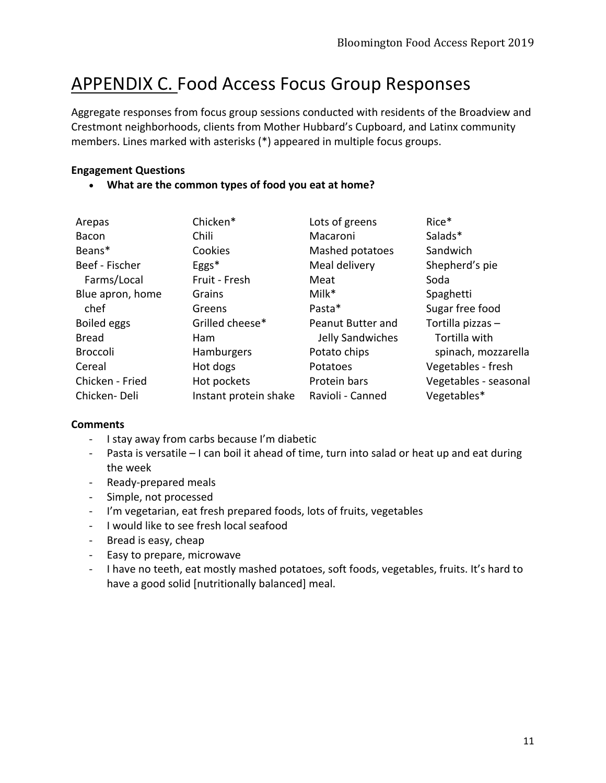## APPENDIX C. Food Access Focus Group Responses

Aggregate responses from focus group sessions conducted with residents of the Broadview and Crestmont neighborhoods, clients from Mother Hubbard's Cupboard, and Latinx community members. Lines marked with asterisks (\*) appeared in multiple focus groups.

#### **Engagement Questions**

#### • **What are the common types of food you eat at home?**

| Arepas           | Chicken*              | Lots of greens    | Rice*                 |
|------------------|-----------------------|-------------------|-----------------------|
| Bacon            | Chili                 | Macaroni          | Salads*               |
| Beans*           | Cookies               | Mashed potatoes   | Sandwich              |
| Beef - Fischer   | $Eggs*$               | Meal delivery     | Shepherd's pie        |
| Farms/Local      | Fruit - Fresh         | Meat              | Soda                  |
| Blue apron, home | Grains                | $Milk^*$          | Spaghetti             |
| chef             | Greens                | Pasta*            | Sugar free food       |
| Boiled eggs      | Grilled cheese*       | Peanut Butter and | Tortilla pizzas -     |
| <b>Bread</b>     | <b>Ham</b>            | Jelly Sandwiches  | Tortilla with         |
| <b>Broccoli</b>  | <b>Hamburgers</b>     | Potato chips      | spinach, mozzarella   |
| Cereal           | Hot dogs              | Potatoes          | Vegetables - fresh    |
| Chicken - Fried  | Hot pockets           | Protein bars      | Vegetables - seasonal |
| Chicken-Deli     | Instant protein shake | Ravioli - Canned  | Vegetables*           |

- I stay away from carbs because I'm diabetic
- Pasta is versatile I can boil it ahead of time, turn into salad or heat up and eat during the week
- Ready-prepared meals
- Simple, not processed
- I'm vegetarian, eat fresh prepared foods, lots of fruits, vegetables
- I would like to see fresh local seafood
- Bread is easy, cheap
- Easy to prepare, microwave
- I have no teeth, eat mostly mashed potatoes, soft foods, vegetables, fruits. It's hard to have a good solid [nutritionally balanced] meal.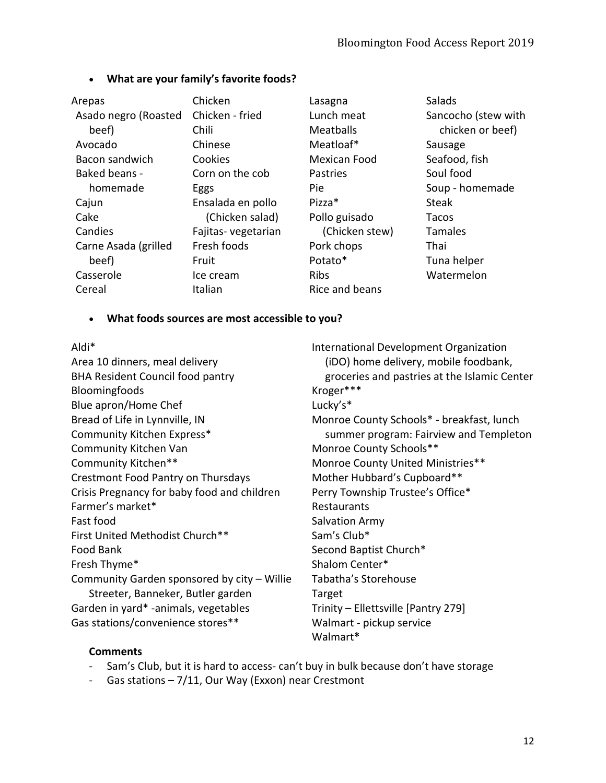### • **What are your family's favorite foods?**

| Arepas               | Chicken            | Lasagna        | Salads              |
|----------------------|--------------------|----------------|---------------------|
| Asado negro (Roasted | Chicken - fried    | Lunch meat     | Sancocho (stew with |
| beef)                | <b>Chili</b>       | Meatballs      | chicken or beef)    |
| Avocado              | Chinese            | Meatloaf*      | Sausage             |
| Bacon sandwich       | Cookies            | Mexican Food   | Seafood, fish       |
| Baked beans -        | Corn on the cob    | Pastries       | Soul food           |
| homemade             | Eggs               | <b>Pie</b>     | Soup - homemade     |
| Cajun                | Ensalada en pollo  | Pizza*         | <b>Steak</b>        |
| Cake                 | (Chicken salad)    | Pollo guisado  | Tacos               |
| Candies              | Fajitas-vegetarian | (Chicken stew) | <b>Tamales</b>      |
| Carne Asada (grilled | Fresh foods        | Pork chops     | Thai                |
| beef)                | Fruit              | Potato*        | Tuna helper         |
| Casserole            | Ice cream          | <b>Ribs</b>    | Watermelon          |
| Cereal               | Italian            | Rice and beans |                     |

#### • **What foods sources are most accessible to you?**

#### Aldi\*

Area 10 dinners, meal delivery BHA Resident Council food pantry Bloomingfoods Blue apron/Home Chef Bread of Life in Lynnville, IN Community Kitchen Express\* Community Kitchen Van Community Kitchen\*\* Crestmont Food Pantry on Thursdays Crisis Pregnancy for baby food and children Farmer's market\* Fast food First United Methodist Church\*\* Food Bank Fresh Thyme\* Community Garden sponsored by city – Willie Streeter, Banneker, Butler garden Garden in yard\* -animals, vegetables Gas stations/convenience stores\*\*

International Development Organization (iDO) home delivery, mobile foodbank, groceries and pastries at the Islamic Center Kroger\*\*\* Lucky's\* Monroe County Schools\* - breakfast, lunch summer program: Fairview and Templeton Monroe County Schools\*\* Monroe County United Ministries\*\* Mother Hubbard's Cupboard\*\* Perry Township Trustee's Office\* Restaurants Salvation Army Sam's Club\* Second Baptist Church\* Shalom Center\* Tabatha's Storehouse Target Trinity – Ellettsville [Pantry 279] Walmart - pickup service Walmart**\***

- Sam's Club, but it is hard to access- can't buy in bulk because don't have storage
- Gas stations 7/11, Our Way (Exxon) near Crestmont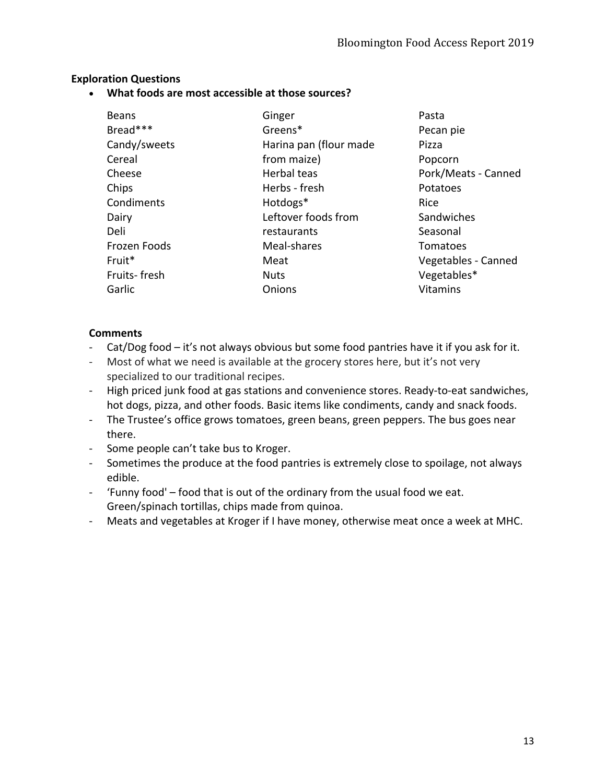## **Exploration Questions**

• **What foods are most accessible at those sources?**

| <b>Beans</b> | Ginger                 | Pasta               |
|--------------|------------------------|---------------------|
| Bread***     | Greens*                | Pecan pie           |
| Candy/sweets | Harina pan (flour made | Pizza               |
| Cereal       | from maize)            | Popcorn             |
| Cheese       | Herbal teas            | Pork/Meats - Canned |
| Chips        | Herbs - fresh          | Potatoes            |
| Condiments   | Hotdogs*               | Rice                |
| Dairy        | Leftover foods from    | Sandwiches          |
| Deli         | restaurants            | Seasonal            |
| Frozen Foods | Meal-shares            | Tomatoes            |
| Fruit*       | Meat                   | Vegetables - Canned |
| Fruits-fresh | <b>Nuts</b>            | Vegetables*         |
| Garlic       | Onions                 | <b>Vitamins</b>     |

- Cat/Dog food it's not always obvious but some food pantries have it if you ask for it.
- Most of what we need is available at the grocery stores here, but it's not very specialized to our traditional recipes.
- High priced junk food at gas stations and convenience stores. Ready-to-eat sandwiches, hot dogs, pizza, and other foods. Basic items like condiments, candy and snack foods.
- The Trustee's office grows tomatoes, green beans, green peppers. The bus goes near there.
- Some people can't take bus to Kroger.
- Sometimes the produce at the food pantries is extremely close to spoilage, not always edible.
- 'Funny food' food that is out of the ordinary from the usual food we eat. Green/spinach tortillas, chips made from quinoa.
- Meats and vegetables at Kroger if I have money, otherwise meat once a week at MHC.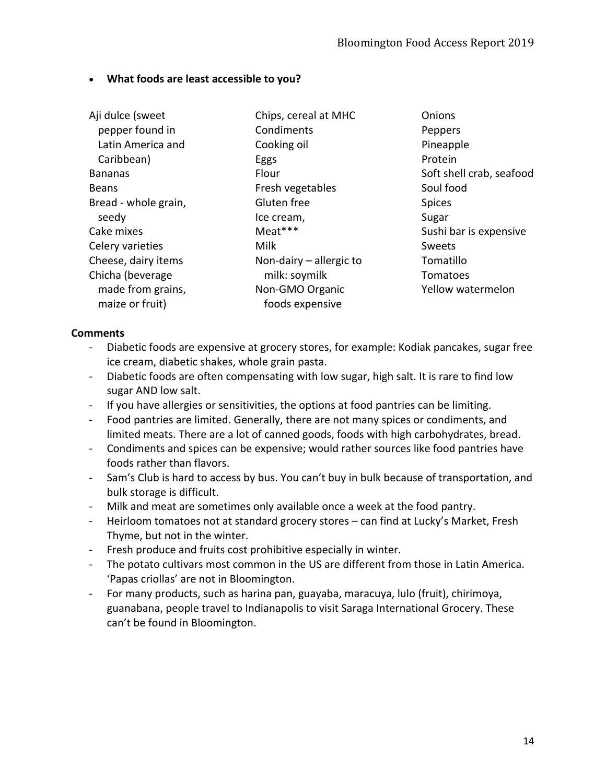## • **What foods are least accessible to you?**

| Aji dulce (sweet     | Chips, cereal at MHC      | Onions                   |
|----------------------|---------------------------|--------------------------|
| pepper found in      | Condiments                | Peppers                  |
| Latin America and    | Cooking oil               | Pineapple                |
| Caribbean)           | Eggs                      | Protein                  |
| <b>Bananas</b>       | Flour                     | Soft shell crab, seafood |
| <b>Beans</b>         | Fresh vegetables          | Soul food                |
| Bread - whole grain, | Gluten free               | <b>Spices</b>            |
| seedy                | Ice cream,                | Sugar                    |
| Cake mixes           | Meat***                   | Sushi bar is expensive   |
| Celery varieties     | Milk                      | Sweets                   |
| Cheese, dairy items  | Non-dairy $-$ allergic to | Tomatillo                |
| Chicha (beverage     | milk: soymilk             | Tomatoes                 |
| made from grains,    | Non-GMO Organic           | Yellow watermelon        |
| maize or fruit)      | foods expensive           |                          |

- Diabetic foods are expensive at grocery stores, for example: Kodiak pancakes, sugar free ice cream, diabetic shakes, whole grain pasta.
- Diabetic foods are often compensating with low sugar, high salt. It is rare to find low sugar AND low salt.
- If you have allergies or sensitivities, the options at food pantries can be limiting.
- Food pantries are limited. Generally, there are not many spices or condiments, and limited meats. There are a lot of canned goods, foods with high carbohydrates, bread.
- Condiments and spices can be expensive; would rather sources like food pantries have foods rather than flavors.
- Sam's Club is hard to access by bus. You can't buy in bulk because of transportation, and bulk storage is difficult.
- Milk and meat are sometimes only available once a week at the food pantry.
- Heirloom tomatoes not at standard grocery stores can find at Lucky's Market, Fresh Thyme, but not in the winter.
- Fresh produce and fruits cost prohibitive especially in winter.
- The potato cultivars most common in the US are different from those in Latin America. 'Papas criollas' are not in Bloomington.
- For many products, such as harina pan, guayaba, maracuya, lulo (fruit), chirimoya, guanabana, people travel to Indianapolis to visit Saraga International Grocery. These can't be found in Bloomington.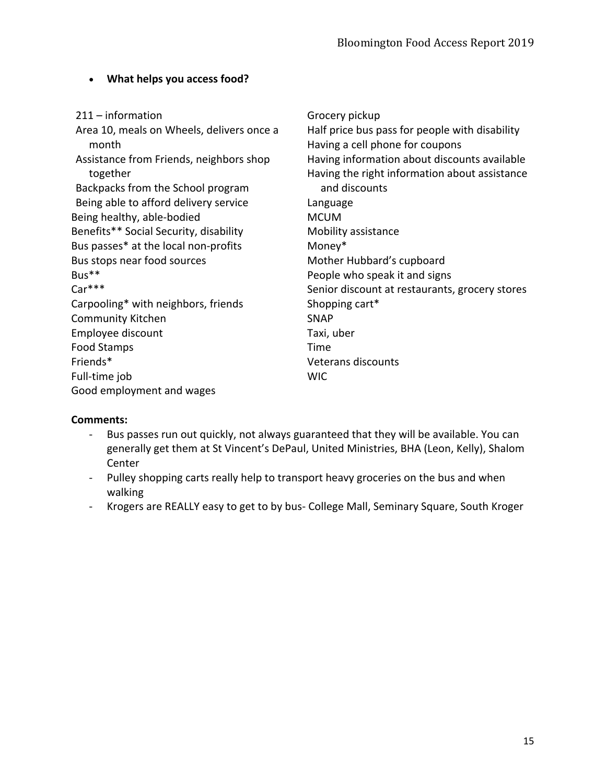## • **What helps you access food?**

| $211 - information$                       | Grocery pickup                                 |
|-------------------------------------------|------------------------------------------------|
| Area 10, meals on Wheels, delivers once a | Half price bus pass for people with disability |
| month                                     | Having a cell phone for coupons                |
| Assistance from Friends, neighbors shop   | Having information about discounts available   |
| together                                  | Having the right information about assistance  |
| Backpacks from the School program         | and discounts                                  |
| Being able to afford delivery service     | Language                                       |
| Being healthy, able-bodied                | <b>MCUM</b>                                    |
| Benefits** Social Security, disability    | Mobility assistance                            |
| Bus passes* at the local non-profits      | Money*                                         |
| Bus stops near food sources               | Mother Hubbard's cupboard                      |
| Bus**                                     | People who speak it and signs                  |
| Car***                                    | Senior discount at restaurants, grocery stores |
| Carpooling* with neighbors, friends       | Shopping cart*                                 |
| Community Kitchen                         | <b>SNAP</b>                                    |
| Employee discount                         | Taxi, uber                                     |
| <b>Food Stamps</b>                        | Time                                           |
| Friends*                                  | Veterans discounts                             |
| Full-time job                             | <b>WIC</b>                                     |
| Good employment and wages                 |                                                |
|                                           |                                                |

- Bus passes run out quickly, not always guaranteed that they will be available. You can generally get them at St Vincent's DePaul, United Ministries, BHA (Leon, Kelly), Shalom Center
- Pulley shopping carts really help to transport heavy groceries on the bus and when walking
- Krogers are REALLY easy to get to by bus- College Mall, Seminary Square, South Kroger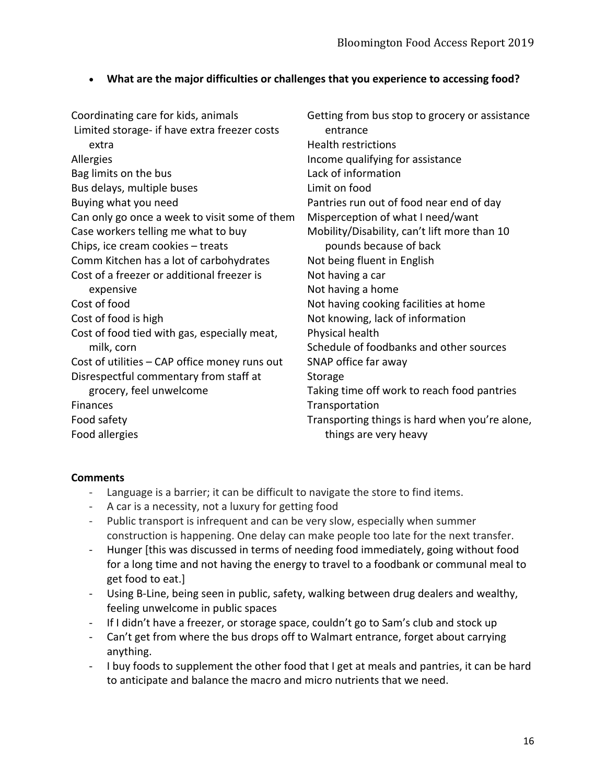## • **What are the major difficulties or challenges that you experience to accessing food?**

| Coordinating care for kids, animals<br>Limited storage- if have extra freezer costs<br>extra | Getting from bus stop to grocery or assistance<br>entrance<br><b>Health restrictions</b> |
|----------------------------------------------------------------------------------------------|------------------------------------------------------------------------------------------|
| Allergies                                                                                    | Income qualifying for assistance                                                         |
| Bag limits on the bus                                                                        | Lack of information                                                                      |
| Bus delays, multiple buses                                                                   | Limit on food                                                                            |
| Buying what you need                                                                         | Pantries run out of food near end of day                                                 |
| Can only go once a week to visit some of them                                                | Misperception of what I need/want                                                        |
| Case workers telling me what to buy                                                          | Mobility/Disability, can't lift more than 10                                             |
| Chips, ice cream cookies - treats                                                            | pounds because of back                                                                   |
| Comm Kitchen has a lot of carbohydrates                                                      | Not being fluent in English                                                              |
| Cost of a freezer or additional freezer is                                                   | Not having a car                                                                         |
| expensive                                                                                    | Not having a home                                                                        |
| Cost of food                                                                                 | Not having cooking facilities at home                                                    |
| Cost of food is high                                                                         | Not knowing, lack of information                                                         |
| Cost of food tied with gas, especially meat,                                                 | Physical health                                                                          |
| milk, corn                                                                                   | Schedule of foodbanks and other sources                                                  |
| Cost of utilities - CAP office money runs out                                                | SNAP office far away                                                                     |
| Disrespectful commentary from staff at                                                       | Storage                                                                                  |
| grocery, feel unwelcome                                                                      | Taking time off work to reach food pantries                                              |
| Finances                                                                                     | Transportation                                                                           |
| Food safety                                                                                  | Transporting things is hard when you're alone,                                           |
| Food allergies                                                                               | things are very heavy                                                                    |

- Language is a barrier; it can be difficult to navigate the store to find items.
- A car is a necessity, not a luxury for getting food
- Public transport is infrequent and can be very slow, especially when summer construction is happening. One delay can make people too late for the next transfer.
- Hunger [this was discussed in terms of needing food immediately, going without food for a long time and not having the energy to travel to a foodbank or communal meal to get food to eat.]
- Using B-Line, being seen in public, safety, walking between drug dealers and wealthy, feeling unwelcome in public spaces
- If I didn't have a freezer, or storage space, couldn't go to Sam's club and stock up
- Can't get from where the bus drops off to Walmart entrance, forget about carrying anything.
- I buy foods to supplement the other food that I get at meals and pantries, it can be hard to anticipate and balance the macro and micro nutrients that we need.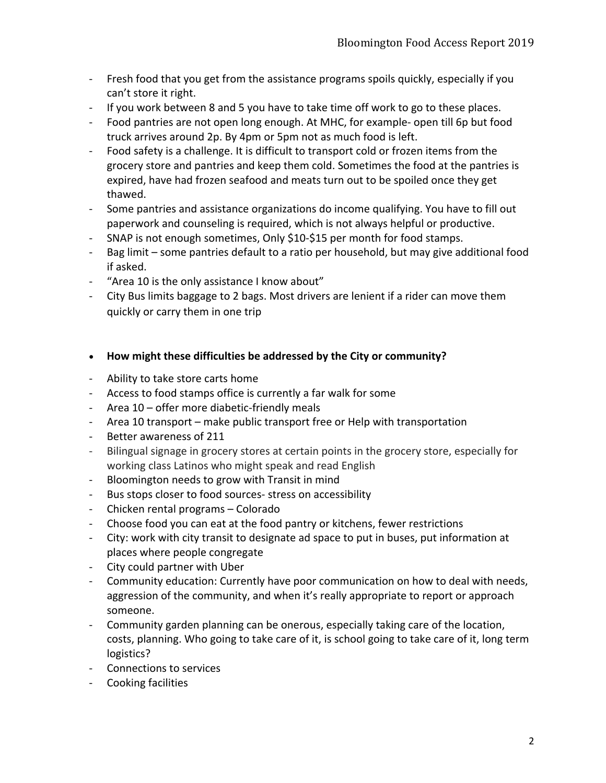- Fresh food that you get from the assistance programs spoils quickly, especially if you can't store it right.
- If you work between 8 and 5 you have to take time off work to go to these places.
- Food pantries are not open long enough. At MHC, for example- open till 6p but food truck arrives around 2p. By 4pm or 5pm not as much food is left.
- Food safety is a challenge. It is difficult to transport cold or frozen items from the grocery store and pantries and keep them cold. Sometimes the food at the pantries is expired, have had frozen seafood and meats turn out to be spoiled once they get thawed.
- Some pantries and assistance organizations do income qualifying. You have to fill out paperwork and counseling is required, which is not always helpful or productive.
- SNAP is not enough sometimes, Only \$10-\$15 per month for food stamps.
- Bag limit some pantries default to a ratio per household, but may give additional food if asked.
- "Area 10 is the only assistance I know about"
- City Bus limits baggage to 2 bags. Most drivers are lenient if a rider can move them quickly or carry them in one trip
- **How might these difficulties be addressed by the City or community?**
- Ability to take store carts home
- Access to food stamps office is currently a far walk for some
- Area 10 offer more diabetic-friendly meals
- Area 10 transport make public transport free or Help with transportation
- Better awareness of 211
- Bilingual signage in grocery stores at certain points in the grocery store, especially for working class Latinos who might speak and read English
- Bloomington needs to grow with Transit in mind
- Bus stops closer to food sources- stress on accessibility
- Chicken rental programs Colorado
- Choose food you can eat at the food pantry or kitchens, fewer restrictions
- City: work with city transit to designate ad space to put in buses, put information at places where people congregate
- City could partner with Uber
- Community education: Currently have poor communication on how to deal with needs, aggression of the community, and when it's really appropriate to report or approach someone.
- Community garden planning can be onerous, especially taking care of the location, costs, planning. Who going to take care of it, is school going to take care of it, long term logistics?
- Connections to services
- Cooking facilities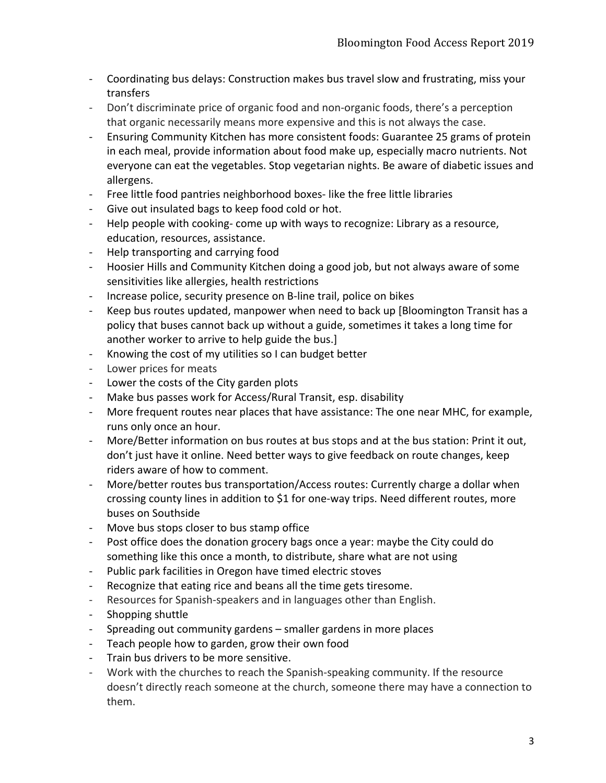- Coordinating bus delays: Construction makes bus travel slow and frustrating, miss your transfers
- Don't discriminate price of organic food and non-organic foods, there's a perception that organic necessarily means more expensive and this is not always the case.
- Ensuring Community Kitchen has more consistent foods: Guarantee 25 grams of protein in each meal, provide information about food make up, especially macro nutrients. Not everyone can eat the vegetables. Stop vegetarian nights. Be aware of diabetic issues and allergens.
- Free little food pantries neighborhood boxes- like the free little libraries
- Give out insulated bags to keep food cold or hot.
- Help people with cooking- come up with ways to recognize: Library as a resource, education, resources, assistance.
- Help transporting and carrying food
- Hoosier Hills and Community Kitchen doing a good job, but not always aware of some sensitivities like allergies, health restrictions
- Increase police, security presence on B-line trail, police on bikes
- Keep bus routes updated, manpower when need to back up [Bloomington Transit has a policy that buses cannot back up without a guide, sometimes it takes a long time for another worker to arrive to help guide the bus.]
- Knowing the cost of my utilities so I can budget better
- Lower prices for meats
- Lower the costs of the City garden plots
- Make bus passes work for Access/Rural Transit, esp. disability
- More frequent routes near places that have assistance: The one near MHC, for example, runs only once an hour.
- More/Better information on bus routes at bus stops and at the bus station: Print it out, don't just have it online. Need better ways to give feedback on route changes, keep riders aware of how to comment.
- More/better routes bus transportation/Access routes: Currently charge a dollar when crossing county lines in addition to \$1 for one-way trips. Need different routes, more buses on Southside
- Move bus stops closer to bus stamp office
- Post office does the donation grocery bags once a year: maybe the City could do something like this once a month, to distribute, share what are not using
- Public park facilities in Oregon have timed electric stoves
- Recognize that eating rice and beans all the time gets tiresome.
- Resources for Spanish-speakers and in languages other than English.
- Shopping shuttle
- Spreading out community gardens smaller gardens in more places
- Teach people how to garden, grow their own food
- Train bus drivers to be more sensitive.
- Work with the churches to reach the Spanish-speaking community. If the resource doesn't directly reach someone at the church, someone there may have a connection to them.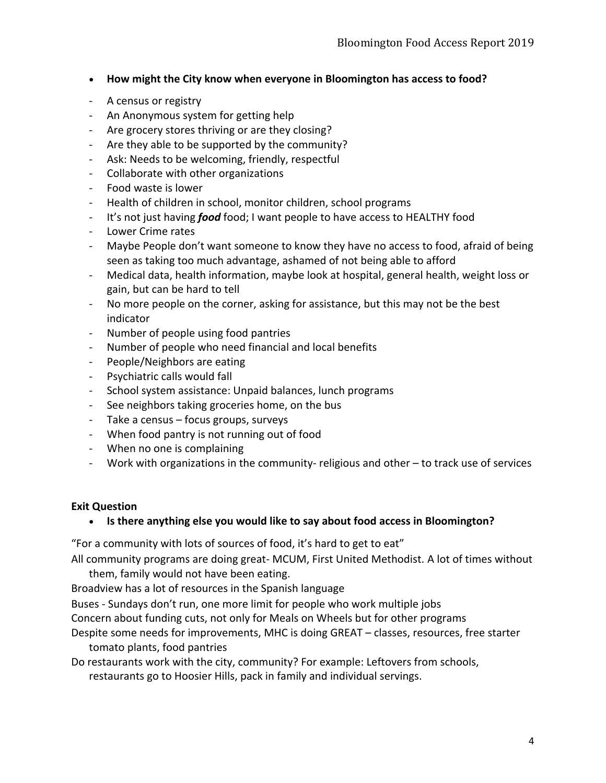- **How might the City know when everyone in Bloomington has access to food?**
- A census or registry
- An Anonymous system for getting help
- Are grocery stores thriving or are they closing?
- Are they able to be supported by the community?
- Ask: Needs to be welcoming, friendly, respectful
- Collaborate with other organizations
- Food waste is lower
- Health of children in school, monitor children, school programs
- It's not just having *food* food; I want people to have access to HEALTHY food
- Lower Crime rates
- Maybe People don't want someone to know they have no access to food, afraid of being seen as taking too much advantage, ashamed of not being able to afford
- Medical data, health information, maybe look at hospital, general health, weight loss or gain, but can be hard to tell
- No more people on the corner, asking for assistance, but this may not be the best indicator
- Number of people using food pantries
- Number of people who need financial and local benefits
- People/Neighbors are eating
- Psychiatric calls would fall
- School system assistance: Unpaid balances, lunch programs
- See neighbors taking groceries home, on the bus
- Take a census focus groups, surveys
- When food pantry is not running out of food
- When no one is complaining
- Work with organizations in the community- religious and other to track use of services

#### **Exit Question**

#### • **Is there anything else you would like to say about food access in Bloomington?**

"For a community with lots of sources of food, it's hard to get to eat"

All community programs are doing great- MCUM, First United Methodist. A lot of times without

them, family would not have been eating.

Broadview has a lot of resources in the Spanish language

Buses - Sundays don't run, one more limit for people who work multiple jobs

Concern about funding cuts, not only for Meals on Wheels but for other programs

Despite some needs for improvements, MHC is doing GREAT – classes, resources, free starter tomato plants, food pantries

Do restaurants work with the city, community? For example: Leftovers from schools,

restaurants go to Hoosier Hills, pack in family and individual servings.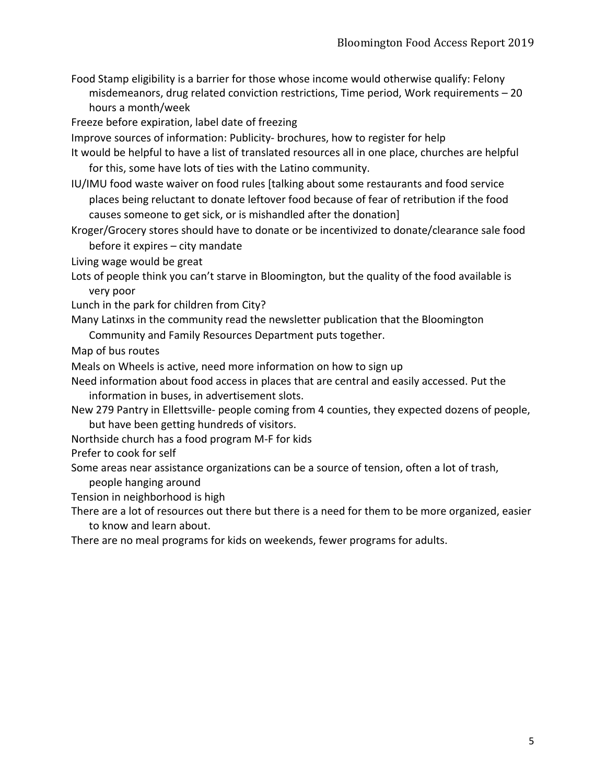Food Stamp eligibility is a barrier for those whose income would otherwise qualify: Felony misdemeanors, drug related conviction restrictions, Time period, Work requirements – 20 hours a month/week

Freeze before expiration, label date of freezing

Improve sources of information: Publicity- brochures, how to register for help

- It would be helpful to have a list of translated resources all in one place, churches are helpful for this, some have lots of ties with the Latino community.
- IU/IMU food waste waiver on food rules [talking about some restaurants and food service places being reluctant to donate leftover food because of fear of retribution if the food causes someone to get sick, or is mishandled after the donation]
- Kroger/Grocery stores should have to donate or be incentivized to donate/clearance sale food before it expires – city mandate

Living wage would be great

Lots of people think you can't starve in Bloomington, but the quality of the food available is very poor

Lunch in the park for children from City?

Many Latinxs in the community read the newsletter publication that the Bloomington

Community and Family Resources Department puts together.

Map of bus routes

Meals on Wheels is active, need more information on how to sign up

- Need information about food access in places that are central and easily accessed. Put the information in buses, in advertisement slots.
- New 279 Pantry in Ellettsville- people coming from 4 counties, they expected dozens of people, but have been getting hundreds of visitors.
- Northside church has a food program M-F for kids
- Prefer to cook for self
- Some areas near assistance organizations can be a source of tension, often a lot of trash, people hanging around
- Tension in neighborhood is high
- There are a lot of resources out there but there is a need for them to be more organized, easier to know and learn about.

There are no meal programs for kids on weekends, fewer programs for adults.